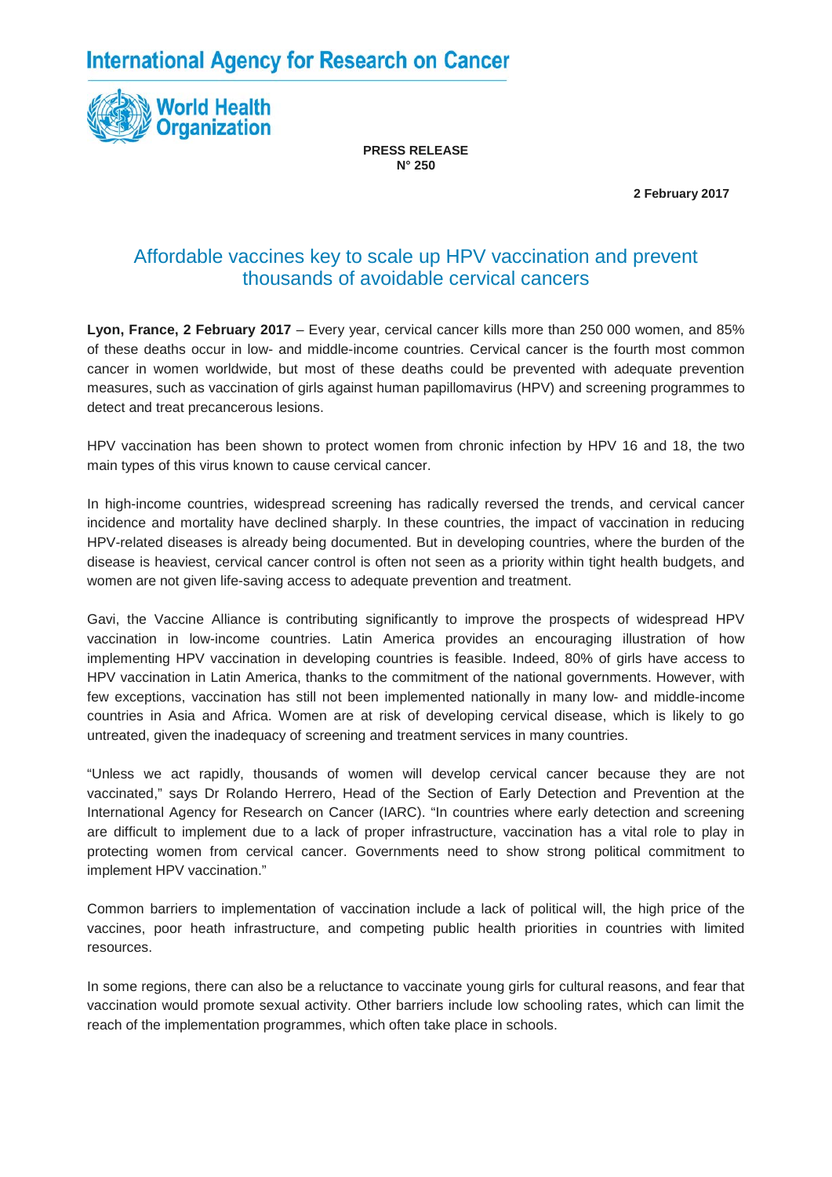**International Agency for Research on Cancer** 



**PRESS RELEASE N° 250**

 **2 February 2017**

## Affordable vaccines key to scale up HPV vaccination and prevent thousands of avoidable cervical cancers

**Lyon, France, 2 February 2017** – Every year, cervical cancer kills more than 250 000 women, and 85% of these deaths occur in low- and middle-income countries. Cervical cancer is the fourth most common cancer in women worldwide, but most of these deaths could be prevented with adequate prevention measures, such as vaccination of girls against human papillomavirus (HPV) and screening programmes to detect and treat precancerous lesions.

HPV vaccination has been shown to protect women from chronic infection by HPV 16 and 18, the two main types of this virus known to cause cervical cancer.

In high-income countries, widespread screening has radically reversed the trends, and cervical cancer incidence and mortality have declined sharply. In these countries, the impact of vaccination in reducing HPV-related diseases is already being documented. But in developing countries, where the burden of the disease is heaviest, cervical cancer control is often not seen as a priority within tight health budgets, and women are not given life-saving access to adequate prevention and treatment.

Gavi, the Vaccine Alliance is contributing significantly to improve the prospects of widespread HPV vaccination in low-income countries. Latin America provides an encouraging illustration of how implementing HPV vaccination in developing countries is feasible. Indeed, 80% of girls have access to HPV vaccination in Latin America, thanks to the commitment of the national governments. However, with few exceptions, vaccination has still not been implemented nationally in many low- and middle-income countries in Asia and Africa. Women are at risk of developing cervical disease, which is likely to go untreated, given the inadequacy of screening and treatment services in many countries.

"Unless we act rapidly, thousands of women will develop cervical cancer because they are not vaccinated," says Dr Rolando Herrero, Head of the Section of Early Detection and Prevention at the International Agency for Research on Cancer (IARC). "In countries where early detection and screening are difficult to implement due to a lack of proper infrastructure, vaccination has a vital role to play in protecting women from cervical cancer. Governments need to show strong political commitment to implement HPV vaccination."

Common barriers to implementation of vaccination include a lack of political will, the high price of the vaccines, poor heath infrastructure, and competing public health priorities in countries with limited resources.

In some regions, there can also be a reluctance to vaccinate young girls for cultural reasons, and fear that vaccination would promote sexual activity. Other barriers include low schooling rates, which can limit the reach of the implementation programmes, which often take place in schools.